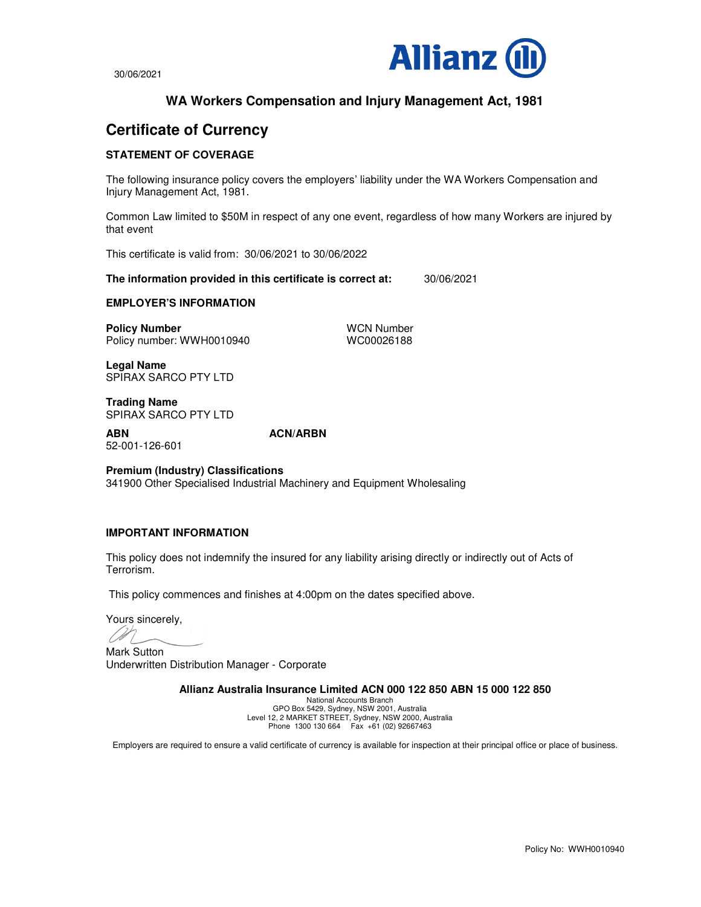

30/06/2021

# **WA Workers Compensation and Injury Management Act, 1981**

# **Certificate of Currency**

## **STATEMENT OF COVERAGE**

The following insurance policy covers the employers' liability under the WA Workers Compensation and Injury Management Act, 1981.

Common Law limited to \$50M in respect of any one event, regardless of how many Workers are injured by that event

This certificate is valid from: 30/06/2021 to 30/06/2022

**The information provided in this certificate is correct at:** 30/06/2021

#### **EMPLOYER'S INFORMATION**

**Policy Number**<br>
Policy number: WWH0010940<br>
WC00026188 Policy number: WWH0010940

**Legal Name**  SPIRAX SARCO PTY LTD

**Trading Name** SPIRAX SARCO PTY LTD

52-001-126-601

**ABN ACN/ARBN** 

**Premium (Industry) Classifications** 341900 Other Specialised Industrial Machinery and Equipment Wholesaling

### **IMPORTANT INFORMATION**

This policy does not indemnify the insured for any liability arising directly or indirectly out of Acts of Terrorism.

This policy commences and finishes at 4:00pm on the dates specified above.

Yours sincerely,

Mark Sutton Underwritten Distribution Manager - Corporate

**Allianz Australia Insurance Limited ACN 000 122 850 ABN 15 000 122 850** 

National Accounts Branch GPO Box 5429, Sydney, NSW 2001, Australia Level 12, 2 MARKET STREET, Sydney, NSW 2000, Australia Phone 1300 130 664 Fax +61 (02) 92667463

Employers are required to ensure a valid certificate of currency is available for inspection at their principal office or place of business.